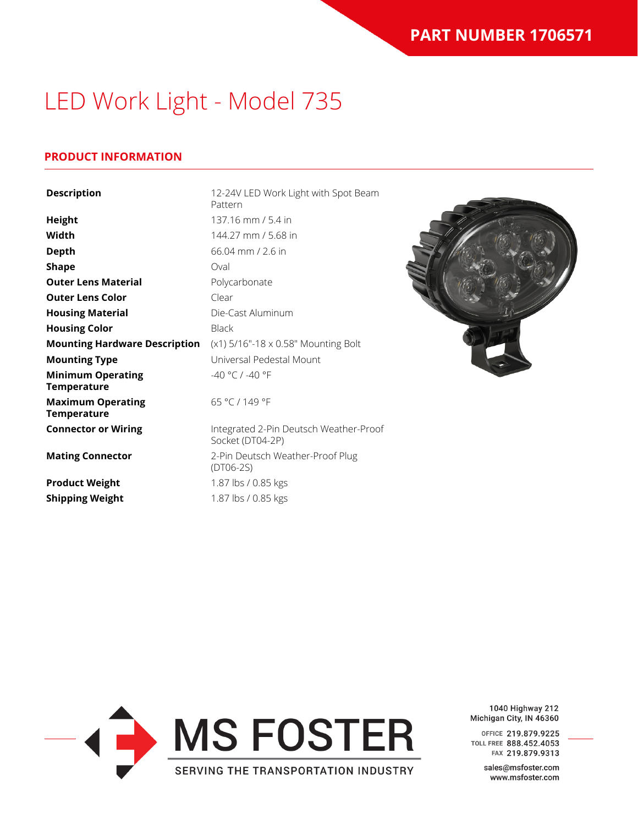# LED Work Light - Model 735

### **PRODUCT INFORMATION**

| <b>Description</b>                             | 12-24V LED Work Light with Spot Beam<br>Pattern            |  |
|------------------------------------------------|------------------------------------------------------------|--|
| <b>Height</b>                                  | 137.16 mm / 5.4 in                                         |  |
| Width                                          | 144.27 mm / 5.68 in                                        |  |
| <b>Depth</b>                                   | $66.04$ mm $/$ 2.6 in                                      |  |
| <b>Shape</b>                                   | Oval                                                       |  |
| <b>Outer Lens Material</b>                     | Polycarbonate                                              |  |
| <b>Outer Lens Color</b>                        | Clear                                                      |  |
| <b>Housing Material</b>                        | Die-Cast Aluminum                                          |  |
| <b>Housing Color</b>                           | <b>Black</b>                                               |  |
| <b>Mounting Hardware Description</b>           | (x1) 5/16"-18 x 0.58" Mounting Bolt                        |  |
| <b>Mounting Type</b>                           | Universal Pedestal Mount                                   |  |
| <b>Minimum Operating</b><br><b>Temperature</b> | -40 °C / -40 °F                                            |  |
| <b>Maximum Operating</b><br><b>Temperature</b> | 65 °C / 149 °F                                             |  |
| <b>Connector or Wiring</b>                     | Integrated 2-Pin Deutsch Weather-Proof<br>Socket (DT04-2P) |  |
| <b>Mating Connector</b>                        | 2-Pin Deutsch Weather-Proof Plug<br>$(DTO6-2S)$            |  |
| <b>Product Weight</b>                          | 1.87 lbs / 0.85 kgs                                        |  |
| <b>Shipping Weight</b>                         | 1.87 lbs / 0.85 kgs                                        |  |



1040 Highway 212 Michigan City, IN 46360

OFFICE 219.879.9225 TOLL FREE 888.452.4053 FAX 219.879.9313

> sales@msfoster.com www.msfoster.com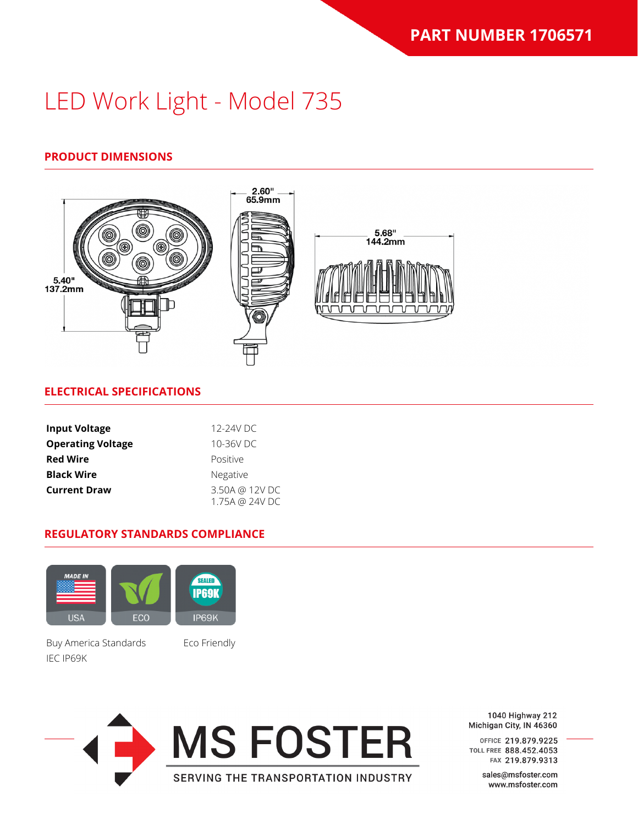# LED Work Light - Model 735

# **PRODUCT DIMENSIONS**



#### **ELECTRICAL SPECIFICATIONS**

| <b>Input Voltage</b>     | 12-24V DC                        |  |
|--------------------------|----------------------------------|--|
| <b>Operating Voltage</b> | 10-36V DC                        |  |
| <b>Red Wire</b>          | Positive                         |  |
| <b>Black Wire</b>        | Negative                         |  |
| <b>Current Draw</b>      | 3.50A @ 12V DC<br>1.75A @ 24V DC |  |

#### **REGULATORY STANDARDS COMPLIANCE**



Buy America Standards Eco Friendly IEC IP69K



1040 Highway 212 Michigan City, IN 46360

OFFICE 219.879.9225 TOLL FREE 888.452.4053 FAX 219.879.9313

> sales@msfoster.com www.msfoster.com